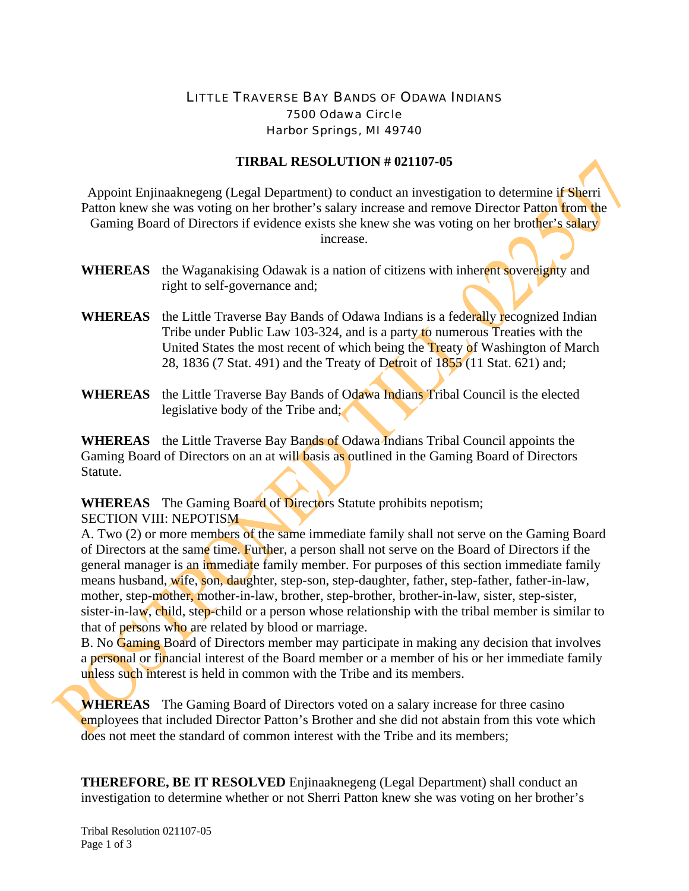## LITTLE TRAVERSE BAY BANDS OF ODAWA INDIANS 7500 Odawa Circle Harbor Springs, MI 49740

## **TIRBAL RESOLUTION # 021107-05**

Appoint Enjinaaknegeng (Legal Department) to conduct an investigation to determine if Sherri Patton knew she was voting on her brother's salary increase and remove Director Patton from the Gaming Board of Directors if evidence exists she knew she was voting on her brother's salary increase.

- **WHEREAS** the Waganakising Odawak is a nation of citizens with inherent sovereignty and right to self-governance and;
- **WHEREAS** the Little Traverse Bay Bands of Odawa Indians is a federally recognized Indian Tribe under Public Law 103-324, and is a party to numerous Treaties with the United States the most recent of which being the Treaty of Washington of March 28, 1836 (7 Stat. 491) and the Treaty of Detroit of 1855 (11 Stat. 621) and;
- **WHEREAS** the Little Traverse Bay Bands of Odawa Indians Tribal Council is the elected legislative body of the Tribe and;

**WHEREAS** the Little Traverse Bay Bands of Odawa Indians Tribal Council appoints the Gaming Board of Directors on an at will basis as outlined in the Gaming Board of Directors Statute.

**WHEREAS** The Gaming Board of Directors Statute prohibits nepotism; SECTION VIII: NEPOTISM

A. Two (2) or more members of the same immediate family shall not serve on the Gaming Board of Directors at the same time. Further, a person shall not serve on the Board of Directors if the general manager is an immediate family member. For purposes of this section immediate family means husband, wife, son, daughter, step-son, step-daughter, father, step-father, father-in-law, mother, step-mother, mother-in-law, brother, step-brother, brother-in-law, sister, step-sister, sister-in-law, child, step-child or a person whose relationship with the tribal member is similar to that of persons who are related by blood or marriage.

B. No Gaming Board of Directors member may participate in making any decision that involves a personal or financial interest of the Board member or a member of his or her immediate family unless such interest is held in common with the Tribe and its members.

**WHEREAS** The Gaming Board of Directors voted on a salary increase for three casino employees that included Director Patton's Brother and she did not abstain from this vote which does not meet the standard of common interest with the Tribe and its members;

**THEREFORE, BE IT RESOLVED** Enjinaaknegeng (Legal Department) shall conduct an investigation to determine whether or not Sherri Patton knew she was voting on her brother's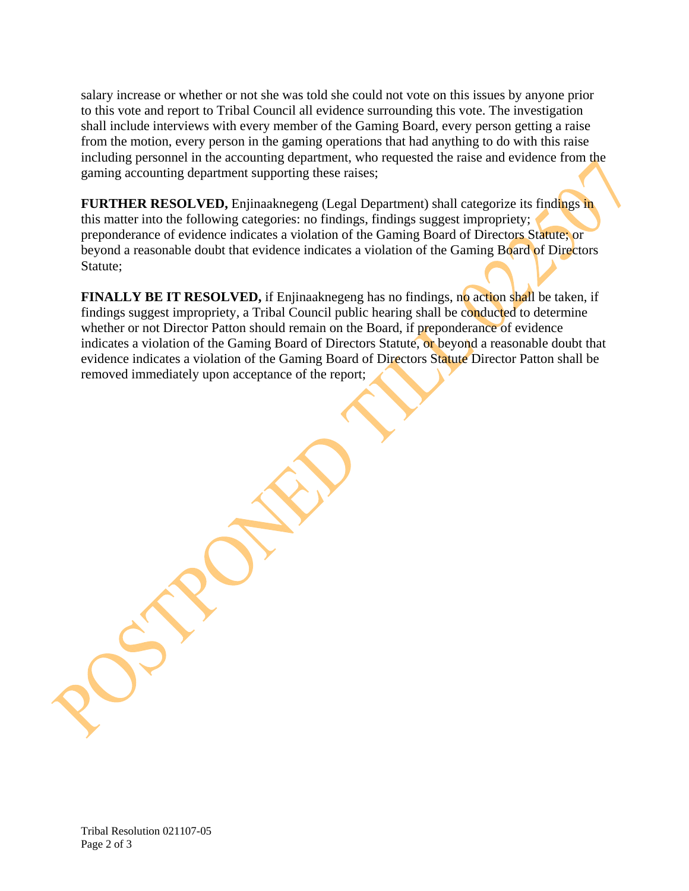salary increase or whether or not she was told she could not vote on this issues by anyone prior to this vote and report to Tribal Council all evidence surrounding this vote. The investigation shall include interviews with every member of the Gaming Board, every person getting a raise from the motion, every person in the gaming operations that had anything to do with this raise including personnel in the accounting department, who requested the raise and evidence from the gaming accounting department supporting these raises;

**FURTHER RESOLVED,** Enjinaaknegeng (Legal Department) shall categorize its findings in this matter into the following categories: no findings, findings suggest impropriety; preponderance of evidence indicates a violation of the Gaming Board of Directors Statute; or beyond a reasonable doubt that evidence indicates a violation of the Gaming Board of Directors Statute;

**FINALLY BE IT RESOLVED,** if Enjinaaknegeng has no findings, no action shall be taken, if findings suggest impropriety, a Tribal Council public hearing shall be conducted to determine whether or not Director Patton should remain on the Board, if preponderance of evidence indicates a violation of the Gaming Board of Directors Statute, or beyond a reasonable doubt that evidence indicates a violation of the Gaming Board of Directors Statute Director Patton shall be removed immediately upon acceptance of the report;